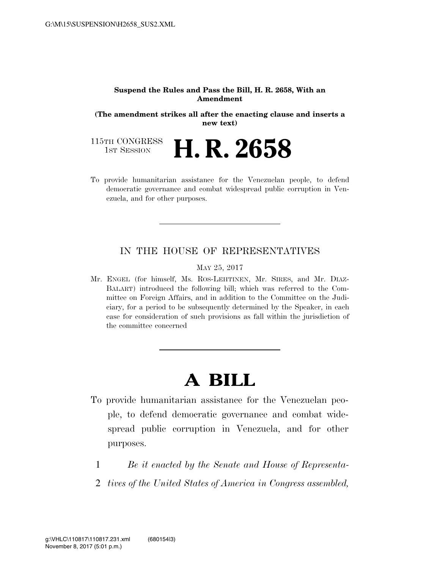#### **Suspend the Rules and Pass the Bill, H. R. 2658, With an Amendment**

**(The amendment strikes all after the enacting clause and inserts a new text)** 

115TH CONGRESS<br>1st Session H. R. 2658

To provide humanitarian assistance for the Venezuelan people, to defend democratic governance and combat widespread public corruption in Venezuela, and for other purposes.

#### IN THE HOUSE OF REPRESENTATIVES

MAY 25, 2017

Mr. ENGEL (for himself, Ms. ROS-LEHTINEN, Mr. SIRES, and Mr. DIAZ-BALART) introduced the following bill; which was referred to the Committee on Foreign Affairs, and in addition to the Committee on the Judiciary, for a period to be subsequently determined by the Speaker, in each case for consideration of such provisions as fall within the jurisdiction of the committee concerned

# **A BILL**

- To provide humanitarian assistance for the Venezuelan people, to defend democratic governance and combat widespread public corruption in Venezuela, and for other purposes.
	- 1 *Be it enacted by the Senate and House of Representa-*
	- 2 *tives of the United States of America in Congress assembled,*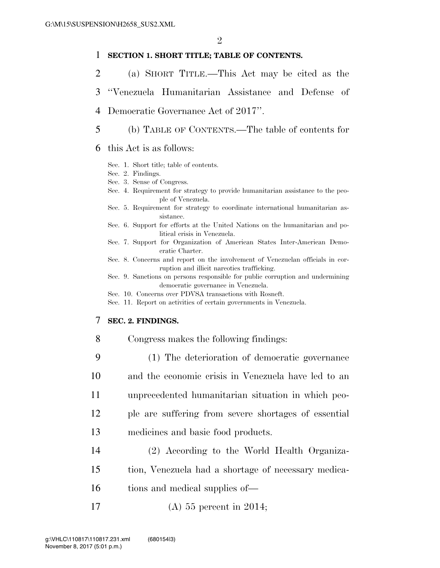#### 1 **SECTION 1. SHORT TITLE; TABLE OF CONTENTS.**

- 2 (a) SHORT TITLE.—This Act may be cited as the
- 3 ''Venezuela Humanitarian Assistance and Defense of
- 4 Democratic Governance Act of 2017''.
- 5 (b) TABLE OF CONTENTS.—The table of contents for
- 6 this Act is as follows:
	- Sec. 1. Short title; table of contents.
	- Sec. 2. Findings.
	- Sec. 3. Sense of Congress.
	- Sec. 4. Requirement for strategy to provide humanitarian assistance to the people of Venezuela.
	- Sec. 5. Requirement for strategy to coordinate international humanitarian assistance.
	- Sec. 6. Support for efforts at the United Nations on the humanitarian and political crisis in Venezuela.
	- Sec. 7. Support for Organization of American States Inter-American Democratic Charter.
	- Sec. 8. Concerns and report on the involvement of Venezuelan officials in corruption and illicit narcotics trafficking.
	- Sec. 9. Sanctions on persons responsible for public corruption and undermining democratic governance in Venezuela.
	- Sec. 10. Concerns over PDVSA transactions with Rosneft.
	- Sec. 11. Report on activities of certain governments in Venezuela.

#### 7 **SEC. 2. FINDINGS.**

- 8 Congress makes the following findings:
- 9 (1) The deterioration of democratic governance 10 and the economic crisis in Venezuela have led to an 11 unprecedented humanitarian situation in which peo-12 ple are suffering from severe shortages of essential 13 medicines and basic food products.
- 14 (2) According to the World Health Organiza-
- 15 tion, Venezuela had a shortage of necessary medica-
- 16 tions and medical supplies of—
- 17 (A) 55 percent in 2014;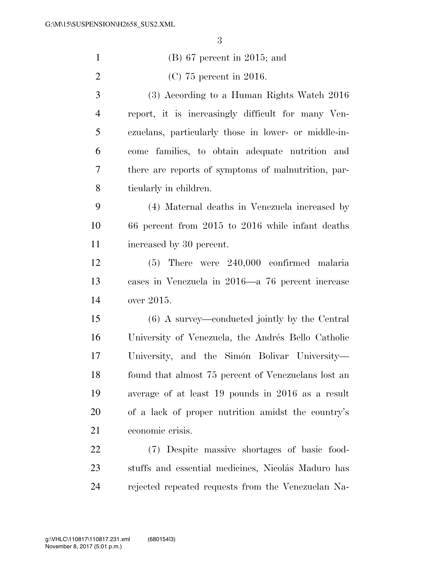| $\mathbf{1}$   | $(B)$ 67 percent in 2015; and                        |
|----------------|------------------------------------------------------|
| 2              | $(C)$ 75 percent in 2016.                            |
| 3              | (3) According to a Human Rights Watch 2016           |
| $\overline{4}$ | report, it is increasingly difficult for many Ven-   |
| 5              | ezuelans, particularly those in lower- or middle-in- |
| 6              | come families, to obtain adequate nutrition and      |
| 7              | there are reports of symptoms of malnutrition, par-  |
| 8              | ticularly in children.                               |
| 9              | (4) Maternal deaths in Venezuela increased by        |
| 10             | 66 percent from 2015 to 2016 while infant deaths     |
| 11             | increased by 30 percent.                             |
| 12             | $(5)$ There were $240,000$ confirmed malaria         |
| 13             | cases in Venezuela in 2016—a 76 percent increase     |
| 14             | over 2015.                                           |
| 15             | (6) A survey—conducted jointly by the Central        |
| 16             | University of Venezuela, the Andrés Bello Catholic   |
| 17             | University, and the Simón Bolivar University-        |
| 18             | found that almost 75 percent of Venezuelans lost an  |
| 19             | average of at least 19 pounds in 2016 as a result    |
| 20             | of a lack of proper nutrition amidst the country's   |
| 21             | economic crisis.                                     |
| 22             | (7) Despite massive shortages of basic food-         |
| 23             | stuffs and essential medicines, Nicolás Maduro has   |
| 24             | rejected repeated requests from the Venezuelan Na-   |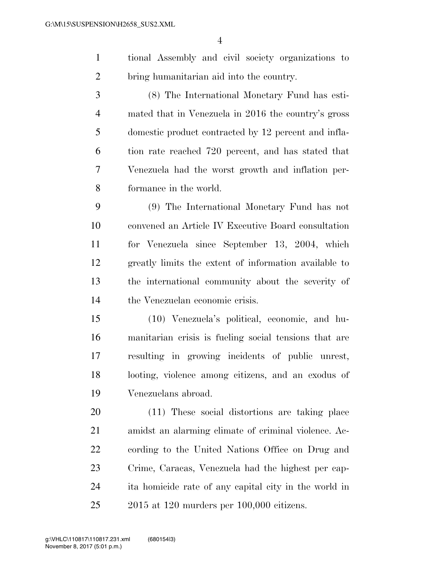| tional Assembly and civil society organizations to |  |
|----------------------------------------------------|--|
| bring humanitarian aid into the country.           |  |

 (8) The International Monetary Fund has esti- mated that in Venezuela in 2016 the country's gross domestic product contracted by 12 percent and infla- tion rate reached 720 percent, and has stated that Venezuela had the worst growth and inflation per-formance in the world.

 (9) The International Monetary Fund has not convened an Article IV Executive Board consultation for Venezuela since September 13, 2004, which greatly limits the extent of information available to the international community about the severity of the Venezuelan economic crisis.

 (10) Venezuela's political, economic, and hu- manitarian crisis is fueling social tensions that are resulting in growing incidents of public unrest, looting, violence among citizens, and an exodus of Venezuelans abroad.

 (11) These social distortions are taking place amidst an alarming climate of criminal violence. Ac- cording to the United Nations Office on Drug and Crime, Caracas, Venezuela had the highest per cap- ita homicide rate of any capital city in the world in 2015 at 120 murders per 100,000 citizens.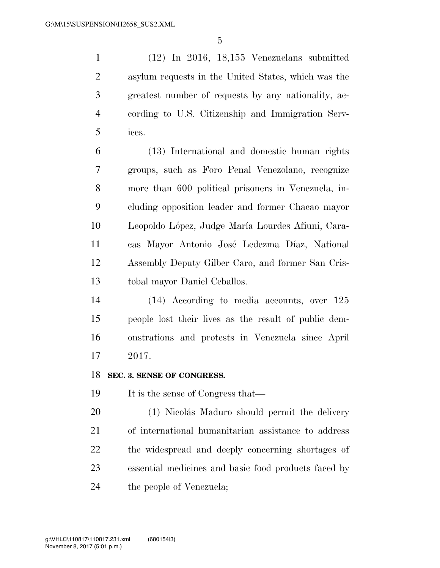(12) In 2016, 18,155 Venezuelans submitted asylum requests in the United States, which was the greatest number of requests by any nationality, ac- cording to U.S. Citizenship and Immigration Serv-ices.

 (13) International and domestic human rights groups, such as Foro Penal Venezolano, recognize more than 600 political prisoners in Venezuela, in- cluding opposition leader and former Chacao mayor 10 Leopoldo López, Judge María Lourdes Afiuni, Cara- cas Mayor Antonio Jose´ Ledezma Dı´az, National Assembly Deputy Gilber Caro, and former San Cris-tobal mayor Daniel Ceballos.

 (14) According to media accounts, over 125 people lost their lives as the result of public dem- onstrations and protests in Venezuela since April 2017.

#### **SEC. 3. SENSE OF CONGRESS.**

19 It is the sense of Congress that—

20 (1) Nicolás Maduro should permit the delivery of international humanitarian assistance to address the widespread and deeply concerning shortages of essential medicines and basic food products faced by the people of Venezuela;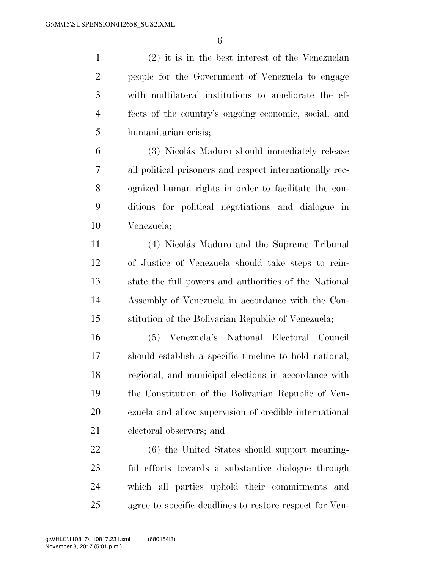(2) it is in the best interest of the Venezuelan people for the Government of Venezuela to engage with multilateral institutions to ameliorate the ef- fects of the country's ongoing economic, social, and humanitarian crisis;

 (3) Nicola´s Maduro should immediately release all political prisoners and respect internationally rec- ognized human rights in order to facilitate the con- ditions for political negotiations and dialogue in Venezuela;

11 (4) Nicolás Maduro and the Supreme Tribunal of Justice of Venezuela should take steps to rein- state the full powers and authorities of the National Assembly of Venezuela in accordance with the Con-stitution of the Bolivarian Republic of Venezuela;

 (5) Venezuela's National Electoral Council should establish a specific timeline to hold national, regional, and municipal elections in accordance with the Constitution of the Bolivarian Republic of Ven- ezuela and allow supervision of credible international electoral observers; and

 (6) the United States should support meaning- ful efforts towards a substantive dialogue through which all parties uphold their commitments and agree to specific deadlines to restore respect for Ven-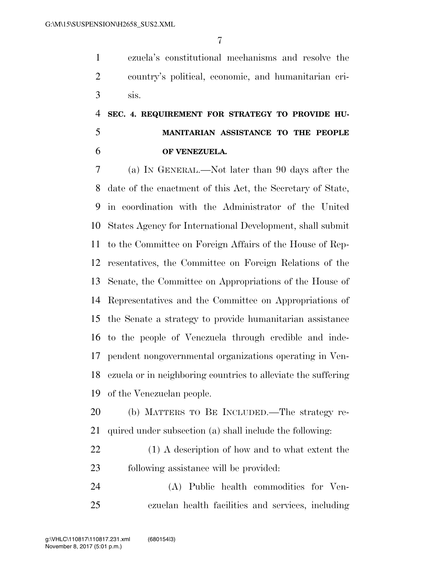ezuela's constitutional mechanisms and resolve the country's political, economic, and humanitarian cri-sis.

## **SEC. 4. REQUIREMENT FOR STRATEGY TO PROVIDE HU- MANITARIAN ASSISTANCE TO THE PEOPLE OF VENEZUELA.**

 (a) IN GENERAL.—Not later than 90 days after the date of the enactment of this Act, the Secretary of State, in coordination with the Administrator of the United States Agency for International Development, shall submit to the Committee on Foreign Affairs of the House of Rep- resentatives, the Committee on Foreign Relations of the Senate, the Committee on Appropriations of the House of Representatives and the Committee on Appropriations of the Senate a strategy to provide humanitarian assistance to the people of Venezuela through credible and inde- pendent nongovernmental organizations operating in Ven- ezuela or in neighboring countries to alleviate the suffering of the Venezuelan people.

 (b) MATTERS TO BE INCLUDED.—The strategy re-quired under subsection (a) shall include the following:

 (1) A description of how and to what extent the following assistance will be provided:

 (A) Public health commodities for Ven-ezuelan health facilities and services, including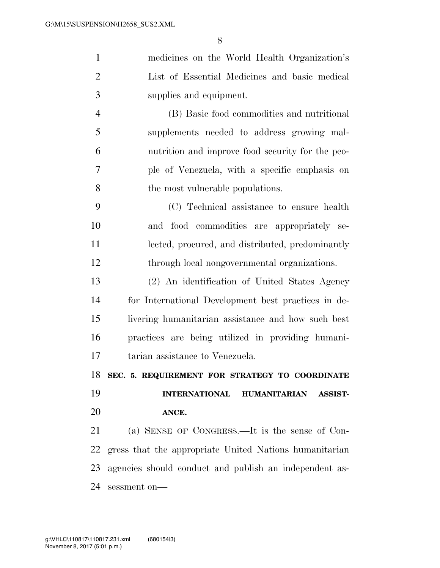| medicines on the World Health Organization's                  |
|---------------------------------------------------------------|
| List of Essential Medicines and basic medical                 |
| supplies and equipment.                                       |
| (B) Basic food commodities and nutritional                    |
| supplements needed to address growing mal-                    |
| nutrition and improve food security for the peo-              |
| ple of Venezuela, with a specific emphasis on                 |
| the most vulnerable populations.                              |
| (C) Technical assistance to ensure health                     |
| and food commodities are appropriately se-                    |
| lected, procured, and distributed, predominantly              |
| through local nongovernmental organizations.                  |
| (2) An identification of United States Agency                 |
| for International Development best practices in de-           |
| livering humanitarian assistance and how such best            |
| practices are being utilized in providing humani-             |
| tarian assistance to Venezuela.                               |
| 18 SEC. 5. REQUIREMENT FOR STRATEGY TO COORDINATE             |
| <b>INTERNATIONAL</b><br><b>HUMANITARIAN</b><br><b>ASSIST-</b> |
| ANCE.                                                         |
| (a) SENSE OF CONGRESS.—It is the sense of Con-                |
|                                                               |
| gress that the appropriate United Nations humanitarian        |
|                                                               |

sessment on—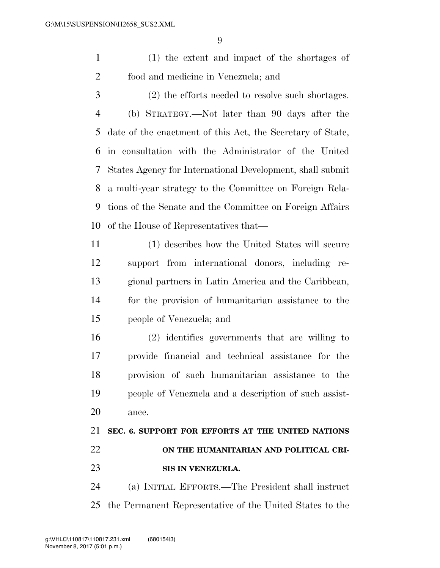(1) the extent and impact of the shortages of food and medicine in Venezuela; and

 (2) the efforts needed to resolve such shortages. (b) STRATEGY.—Not later than 90 days after the date of the enactment of this Act, the Secretary of State, in consultation with the Administrator of the United States Agency for International Development, shall submit a multi-year strategy to the Committee on Foreign Rela- tions of the Senate and the Committee on Foreign Affairs of the House of Representatives that—

 (1) describes how the United States will secure support from international donors, including re- gional partners in Latin America and the Caribbean, for the provision of humanitarian assistance to the people of Venezuela; and

 (2) identifies governments that are willing to provide financial and technical assistance for the provision of such humanitarian assistance to the people of Venezuela and a description of such assist-ance.

## **SEC. 6. SUPPORT FOR EFFORTS AT THE UNITED NATIONS ON THE HUMANITARIAN AND POLITICAL CRI-SIS IN VENEZUELA.**

 (a) INITIAL EFFORTS.—The President shall instruct the Permanent Representative of the United States to the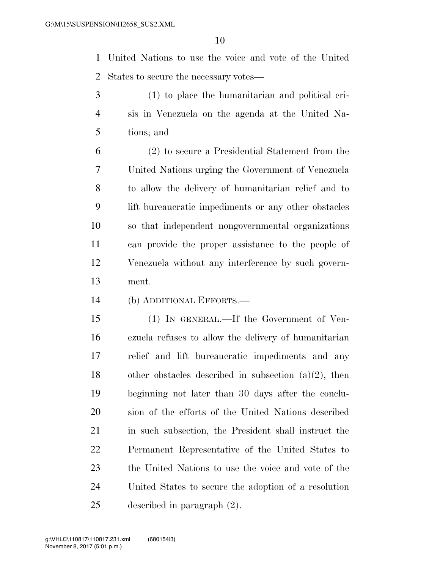United Nations to use the voice and vote of the United States to secure the necessary votes—

- (1) to place the humanitarian and political cri- sis in Venezuela on the agenda at the United Na-tions; and
- (2) to secure a Presidential Statement from the United Nations urging the Government of Venezuela to allow the delivery of humanitarian relief and to lift bureaucratic impediments or any other obstacles so that independent nongovernmental organizations can provide the proper assistance to the people of Venezuela without any interference by such govern-ment.
- (b) ADDITIONAL EFFORTS.—

 (1) IN GENERAL.—If the Government of Ven- ezuela refuses to allow the delivery of humanitarian relief and lift bureaucratic impediments and any 18 other obstacles described in subsection  $(a)(2)$ , then beginning not later than 30 days after the conclu- sion of the efforts of the United Nations described in such subsection, the President shall instruct the Permanent Representative of the United States to the United Nations to use the voice and vote of the United States to secure the adoption of a resolution described in paragraph (2).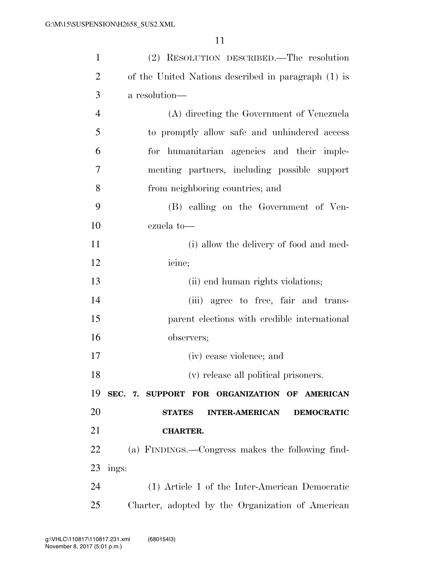| $\mathbf{1}$   | (2) RESOLUTION DESCRIBED.—The resolution                    |
|----------------|-------------------------------------------------------------|
| $\overline{2}$ | of the United Nations described in paragraph (1) is         |
| 3              | a resolution—                                               |
| $\overline{4}$ | (A) directing the Government of Venezuela                   |
| 5              | to promptly allow safe and unhindered access                |
| 6              | for humanitarian agencies and their imple-                  |
| 7              | menting partners, including possible support                |
| 8              | from neighboring countries; and                             |
| 9              | (B) calling on the Government of Ven-                       |
| 10             | ezuela to-                                                  |
| 11             | (i) allow the delivery of food and med-                     |
| 12             | icine;                                                      |
| 13             | (ii) end human rights violations;                           |
| 14             | (iii) agree to free, fair and trans-                        |
| 15             | parent elections with credible international                |
| 16             | observers;                                                  |
| 17             | (iv) cease violence; and                                    |
| 18             | (v) release all political prisoners.                        |
| 19             | SEC. 7. SUPPORT FOR ORGANIZATION OF AMERICAN                |
| <b>20</b>      | <b>STATES</b><br><b>INTER-AMERICAN</b><br><b>DEMOCRATIC</b> |
| 21             | <b>CHARTER.</b>                                             |
| 22             | (a) FINDINGS.—Congress makes the following find-            |
| 23             | ings:                                                       |
| 24             | (1) Article 1 of the Inter-American Democratic              |
| 25             | Charter, adopted by the Organization of American            |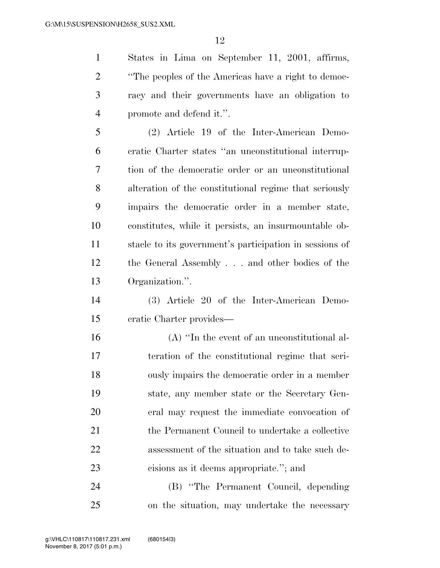States in Lima on September 11, 2001, affirms, ''The peoples of the Americas have a right to democ- racy and their governments have an obligation to promote and defend it.''.

 (2) Article 19 of the Inter-American Demo- cratic Charter states ''an unconstitutional interrup- tion of the democratic order or an unconstitutional alteration of the constitutional regime that seriously impairs the democratic order in a member state, constitutes, while it persists, an insurmountable ob- stacle to its government's participation in sessions of the General Assembly . . . and other bodies of the Organization.''.

 (3) Article 20 of the Inter-American Demo-cratic Charter provides—

 (A) ''In the event of an unconstitutional al- teration of the constitutional regime that seri- ously impairs the democratic order in a member state, any member state or the Secretary Gen- eral may request the immediate convocation of 21 the Permanent Council to undertake a collective assessment of the situation and to take such de-cisions as it deems appropriate.''; and

 (B) ''The Permanent Council, depending on the situation, may undertake the necessary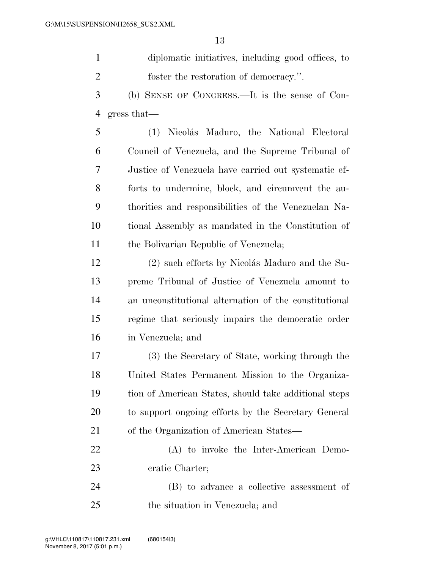| diplomatic initiatives, including good offices, to |
|----------------------------------------------------|
| foster the restoration of democracy.".             |

 (b) SENSE OF CONGRESS.—It is the sense of Con-gress that—

5 (1) Nicolás Maduro, the National Electoral Council of Venezuela, and the Supreme Tribunal of Justice of Venezuela have carried out systematic ef- forts to undermine, block, and circumvent the au- thorities and responsibilities of the Venezuelan Na- tional Assembly as mandated in the Constitution of the Bolivarian Republic of Venezuela;

12 (2) such efforts by Nicolás Maduro and the Su- preme Tribunal of Justice of Venezuela amount to an unconstitutional alternation of the constitutional regime that seriously impairs the democratic order in Venezuela; and

 (3) the Secretary of State, working through the United States Permanent Mission to the Organiza- tion of American States, should take additional steps to support ongoing efforts by the Secretary General of the Organization of American States—

 (A) to invoke the Inter-American Demo-cratic Charter;

 (B) to advance a collective assessment of the situation in Venezuela; and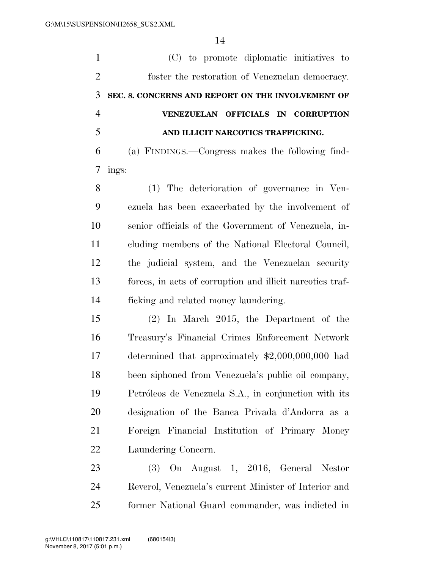(C) to promote diplomatic initiatives to foster the restoration of Venezuelan democracy. **SEC. 8. CONCERNS AND REPORT ON THE INVOLVEMENT OF VENEZUELAN OFFICIALS IN CORRUPTION AND ILLICIT NARCOTICS TRAFFICKING.**  (a) FINDINGS.—Congress makes the following find- ings: (1) The deterioration of governance in Ven- ezuela has been exacerbated by the involvement of senior officials of the Government of Venezuela, in- cluding members of the National Electoral Council, the judicial system, and the Venezuelan security forces, in acts of corruption and illicit narcotics traf- ficking and related money laundering. (2) In March 2015, the Department of the Treasury's Financial Crimes Enforcement Network determined that approximately \$2,000,000,000 had been siphoned from Venezuela's public oil company, 19 Petróleos de Venezuela S.A., in conjunction with its designation of the Banca Privada d'Andorra as a Foreign Financial Institution of Primary Money Laundering Concern. (3) On August 1, 2016, General Nestor Reverol, Venezuela's current Minister of Interior and

former National Guard commander, was indicted in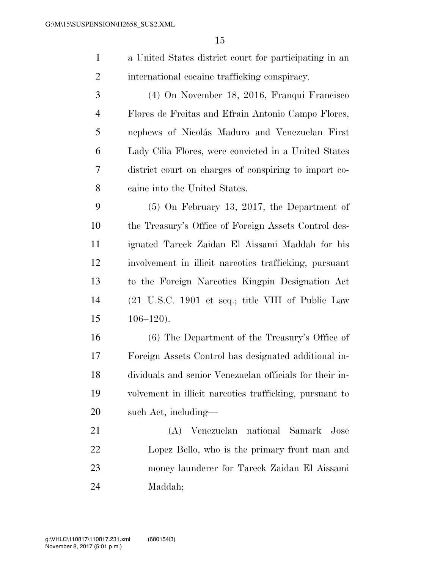a United States district court for participating in an international cocaine trafficking conspiracy.

 (4) On November 18, 2016, Franqui Francisco Flores de Freitas and Efrain Antonio Campo Flores, 5 nephews of Nicolás Maduro and Venezuelan First Lady Cilia Flores, were convicted in a United States district court on charges of conspiring to import co-caine into the United States.

 (5) On February 13, 2017, the Department of the Treasury's Office of Foreign Assets Control des- ignated Tareck Zaidan El Aissami Maddah for his involvement in illicit narcotics trafficking, pursuant to the Foreign Narcotics Kingpin Designation Act (21 U.S.C. 1901 et seq.; title VIII of Public Law 106–120).

 (6) The Department of the Treasury's Office of Foreign Assets Control has designated additional in- dividuals and senior Venezuelan officials for their in- volvement in illicit narcotics trafficking, pursuant to such Act, including—

 (A) Venezuelan national Samark Jose Lopez Bello, who is the primary front man and money launderer for Tareck Zaidan El Aissami Maddah;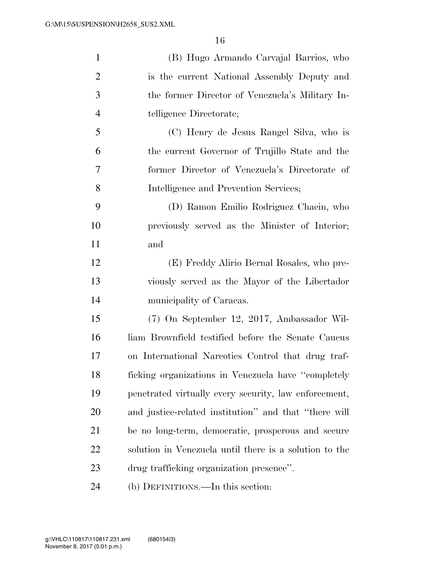| $\mathbf{1}$   | (B) Hugo Armando Carvajal Barrios, who                 |
|----------------|--------------------------------------------------------|
| $\overline{2}$ | is the current National Assembly Deputy and            |
| 3              | the former Director of Venezuela's Military In-        |
| $\overline{4}$ | telligence Directorate;                                |
| 5              | (C) Henry de Jesus Rangel Silva, who is                |
| 6              | the current Governor of Trujillo State and the         |
| $\overline{7}$ | former Director of Venezuela's Directorate of          |
| 8              | Intelligence and Prevention Services;                  |
| 9              | (D) Ramon Emilio Rodriguez Chacin, who                 |
| 10             | previously served as the Minister of Interior;         |
| 11             | and                                                    |
| 12             | (E) Freddy Alirio Bernal Rosales, who pre-             |
| 13             | viously served as the Mayor of the Libertador          |
| 14             | municipality of Caracas.                               |
| 15             | (7) On September 12, 2017, Ambassador Wil-             |
| 16             | liam Brownfield testified before the Senate Caucus     |
| 17             | on International Narcotics Control that drug traf-     |
| 18             | ficking organizations in Venezuela have "completely"   |
| 19             | penetrated virtually every security, law enforcement,  |
| 20             | and justice-related institution" and that "there will  |
| 21             | be no long-term, democratic, prosperous and secure     |
| 22             | solution in Venezuela until there is a solution to the |
| 23             | drug trafficking organization presence".               |
| 24             | (b) DEFINITIONS.—In this section:                      |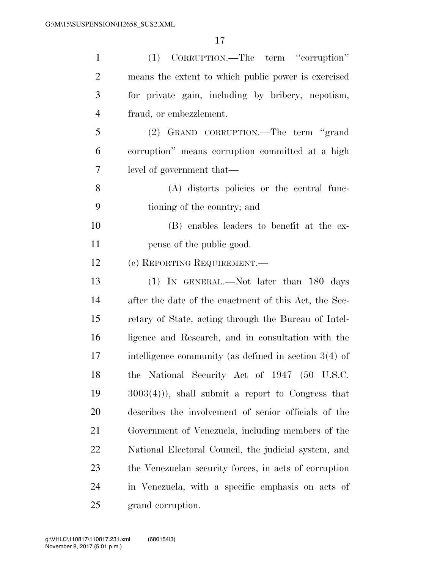| $\mathbf{1}$   | (1) CORRUPTION.—The term "corruption"                   |
|----------------|---------------------------------------------------------|
| $\overline{2}$ | means the extent to which public power is exercised     |
| 3              | for private gain, including by bribery, nepotism,       |
| $\overline{4}$ | fraud, or embezzlement.                                 |
| 5              | (2) GRAND CORRUPTION.—The term "grand                   |
| 6              | corruption" means corruption committed at a high        |
| 7              | level of government that—                               |
| 8              | (A) distorts policies or the central func-              |
| 9              | tioning of the country; and                             |
| 10             | (B) enables leaders to benefit at the ex-               |
| 11             | pense of the public good.                               |
| 12             | (c) REPORTING REQUIREMENT.—                             |
| 13             | (1) IN GENERAL.—Not later than 180 days                 |
| 14             | after the date of the enactment of this Act, the Sec-   |
| 15             | retary of State, acting through the Bureau of Intel-    |
| 16             | ligence and Research, and in consultation with the      |
| 17             | intelligence community (as defined in section $3(4)$ of |
| 18             | the National Security Act of 1947 (50 U.S.C.            |
| 19             | $(3003(4))$ , shall submit a report to Congress that    |
| 20             | describes the involvement of senior officials of the    |
| 21             | Government of Venezuela, including members of the       |
| 22             | National Electoral Council, the judicial system, and    |
| 23             | the Venezuelan security forces, in acts of corruption   |
| 24             | in Venezuela, with a specific emphasis on acts of       |
| 25             | grand corruption.                                       |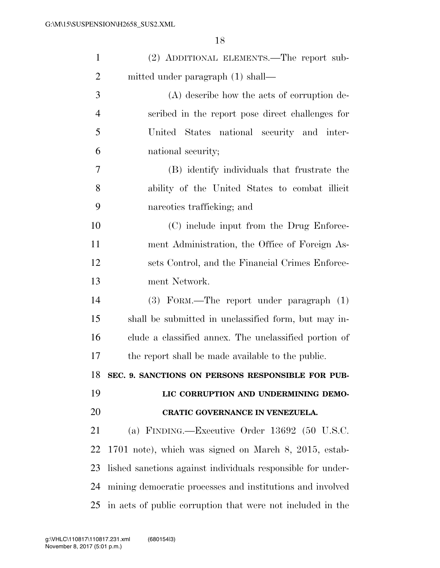| $\mathbf{1}$   | (2) ADDITIONAL ELEMENTS.—The report sub-                    |
|----------------|-------------------------------------------------------------|
| $\overline{2}$ | mitted under paragraph (1) shall—                           |
| 3              | (A) describe how the acts of corruption de-                 |
| $\overline{4}$ | scribed in the report pose direct challenges for            |
| 5              | United States national security and inter-                  |
| 6              | national security;                                          |
| 7              | (B) identify individuals that frustrate the                 |
| 8              | ability of the United States to combat illicit              |
| 9              | narcotics trafficking; and                                  |
| 10             | (C) include input from the Drug Enforce-                    |
| 11             | ment Administration, the Office of Foreign As-              |
| 12             | sets Control, and the Financial Crimes Enforce-             |
| 13             | ment Network.                                               |
| 14             | (3) FORM.—The report under paragraph (1)                    |
| 15             | shall be submitted in unclassified form, but may in-        |
| 16             | clude a classified annex. The unclassified portion of       |
| 17             | the report shall be made available to the public.           |
| 18             | SEC. 9. SANCTIONS ON PERSONS RESPONSIBLE FOR PUB-           |
| 19             | LIC CORRUPTION AND UNDERMINING DEMO-                        |
| 20             | CRATIC GOVERNANCE IN VENEZUELA.                             |
| 21             | (a) FINDING.—Executive Order $13692$ (50 U.S.C.             |
| 22             | 1701 note), which was signed on March 8, 2015, estab-       |
| 23             | lished sanctions against individuals responsible for under- |
| 24             | mining democratic processes and institutions and involved   |
| 25             | in acts of public corruption that were not included in the  |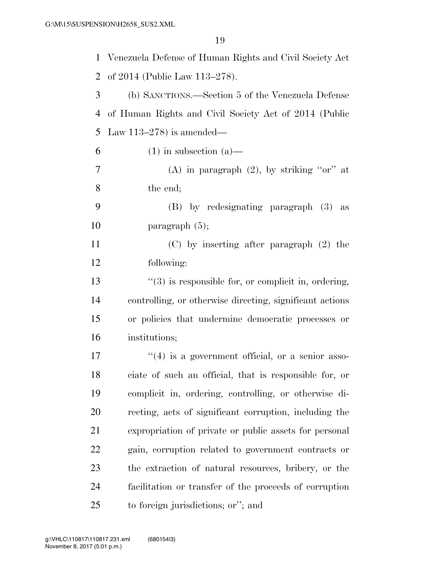| $\mathbf{1}$   | Venezuela Defense of Human Rights and Civil Society Act  |
|----------------|----------------------------------------------------------|
| $\overline{2}$ | of 2014 (Public Law 113–278).                            |
| 3              | (b) SANCTIONS.—Section 5 of the Venezuela Defense        |
| $\overline{4}$ | of Human Rights and Civil Society Act of 2014 (Public    |
| 5              | Law $113-278$ is amended—                                |
| 6              | $(1)$ in subsection $(a)$ —                              |
| 7              | (A) in paragraph $(2)$ , by striking "or" at             |
| 8              | the end;                                                 |
| 9              | (B) by redesignating paragraph (3) as                    |
| 10             | paragraph $(5)$ ;                                        |
| 11             | $(C)$ by inserting after paragraph $(2)$ the             |
| 12             | following:                                               |
| 13             | $\lq(3)$ is responsible for, or complicit in, ordering,  |
| 14             | controlling, or otherwise directing, significant actions |
| 15             | or policies that undermine democratic processes or       |
| 16             | institutions;                                            |
| 17             | $\lq(4)$ is a government official, or a senior asso-     |
| 18             | ciate of such an official, that is responsible for, or   |
| 19             | complicit in, ordering, controlling, or otherwise di-    |
| 20             | recting, acts of significant corruption, including the   |
| 21             | expropriation of private or public assets for personal   |
| 22             | gain, corruption related to government contracts or      |
| 23             | the extraction of natural resources, bribery, or the     |
| 24             | facilitation or transfer of the proceeds of corruption   |
| 25             | to foreign jurisdictions; or"; and                       |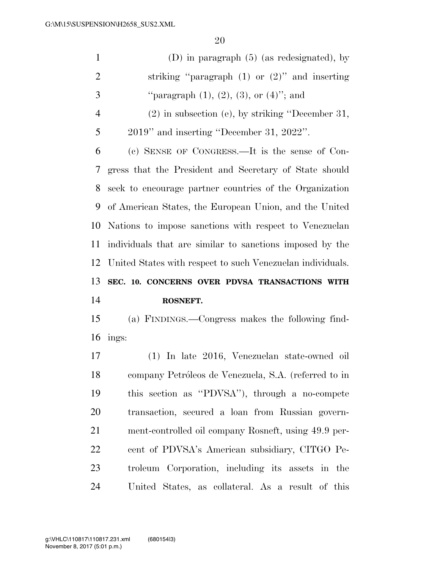| $\mathbf{1}$         | (D) in paragraph $(5)$ (as redesignated), by               |
|----------------------|------------------------------------------------------------|
| $\overline{2}$       | striking "paragraph $(1)$ or $(2)$ " and inserting         |
| 3                    | "paragraph $(1)$ , $(2)$ , $(3)$ , or $(4)$ "; and         |
| $\overline{4}$       | $(2)$ in subsection (e), by striking "December 31,         |
| 5                    | 2019" and inserting "December 31, 2022".                   |
| 6                    | (c) SENSE OF CONGRESS.—It is the sense of Con-             |
| 7                    | gress that the President and Secretary of State should     |
| 8                    | seek to encourage partner countries of the Organization    |
| 9                    | of American States, the European Union, and the United     |
| 10                   | Nations to impose sanctions with respect to Venezuelan     |
| 11                   | individuals that are similar to sanctions imposed by the   |
| 12                   | United States with respect to such Venezuelan individuals. |
|                      |                                                            |
|                      | SEC. 10. CONCERNS OVER PDVSA TRANSACTIONS WITH             |
|                      | ROSNEFT.                                                   |
|                      | (a) FINDINGS.—Congress makes the following find-           |
| 13<br>14<br>15<br>16 | ings:                                                      |
| 17                   | (1) In late 2016, Venezuelan state-owned oil               |
| 18                   | company Petróleos de Venezuela, S.A. (referred to in       |
| 19                   | this section as "PDVSA"), through a no-compete             |
| 20                   | transaction, secured a loan from Russian govern-           |
| 21                   | ment-controlled oil company Rosneft, using 49.9 per-       |
| 22                   | cent of PDVSA's American subsidiary, CITGO Pe-             |
| 23                   | troleum Corporation, including its assets in the           |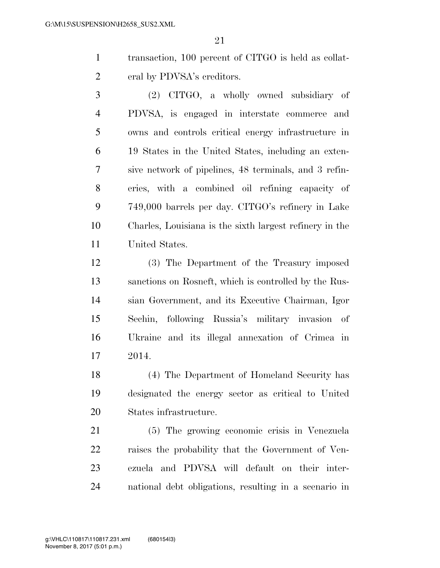transaction, 100 percent of CITGO is held as collat-eral by PDVSA's creditors.

 (2) CITGO, a wholly owned subsidiary of PDVSA, is engaged in interstate commerce and owns and controls critical energy infrastructure in 19 States in the United States, including an exten- sive network of pipelines, 48 terminals, and 3 refin- eries, with a combined oil refining capacity of 749,000 barrels per day. CITGO's refinery in Lake Charles, Louisiana is the sixth largest refinery in the United States.

 (3) The Department of the Treasury imposed sanctions on Rosneft, which is controlled by the Rus- sian Government, and its Executive Chairman, Igor Sechin, following Russia's military invasion of Ukraine and its illegal annexation of Crimea in 2014.

 (4) The Department of Homeland Security has designated the energy sector as critical to United States infrastructure.

 (5) The growing economic crisis in Venezuela raises the probability that the Government of Ven- ezuela and PDVSA will default on their inter-national debt obligations, resulting in a scenario in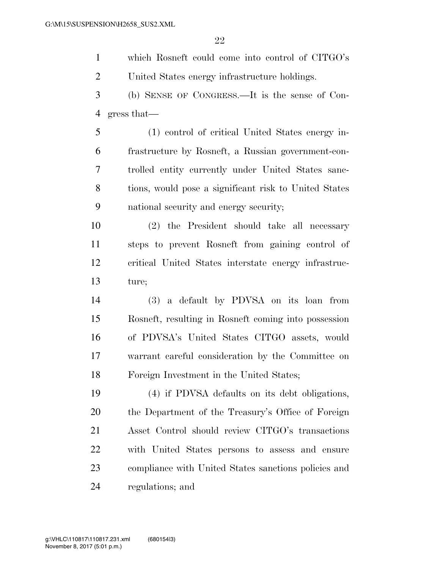which Rosneft could come into control of CITGO's United States energy infrastructure holdings. (b) SENSE OF CONGRESS.—It is the sense of Con- gress that— (1) control of critical United States energy in-

 frastructure by Rosneft, a Russian government-con- trolled entity currently under United States sanc- tions, would pose a significant risk to United States national security and energy security;

 (2) the President should take all necessary steps to prevent Rosneft from gaining control of critical United States interstate energy infrastruc-ture;

 (3) a default by PDVSA on its loan from Rosneft, resulting in Rosneft coming into possession of PDVSA's United States CITGO assets, would warrant careful consideration by the Committee on Foreign Investment in the United States;

 (4) if PDVSA defaults on its debt obligations, the Department of the Treasury's Office of Foreign Asset Control should review CITGO's transactions with United States persons to assess and ensure compliance with United States sanctions policies and regulations; and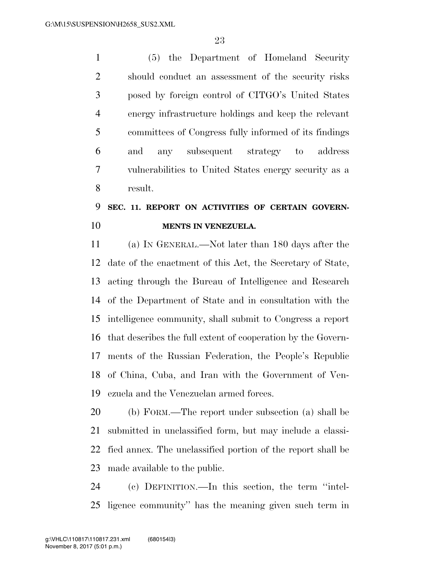(5) the Department of Homeland Security should conduct an assessment of the security risks posed by foreign control of CITGO's United States energy infrastructure holdings and keep the relevant committees of Congress fully informed of its findings and any subsequent strategy to address vulnerabilities to United States energy security as a result.

### **SEC. 11. REPORT ON ACTIVITIES OF CERTAIN GOVERN-MENTS IN VENEZUELA.**

 (a) IN GENERAL.—Not later than 180 days after the date of the enactment of this Act, the Secretary of State, acting through the Bureau of Intelligence and Research of the Department of State and in consultation with the intelligence community, shall submit to Congress a report that describes the full extent of cooperation by the Govern- ments of the Russian Federation, the People's Republic of China, Cuba, and Iran with the Government of Ven-ezuela and the Venezuelan armed forces.

 (b) FORM.—The report under subsection (a) shall be submitted in unclassified form, but may include a classi- fied annex. The unclassified portion of the report shall be made available to the public.

 (c) DEFINITION.—In this section, the term ''intel-ligence community'' has the meaning given such term in